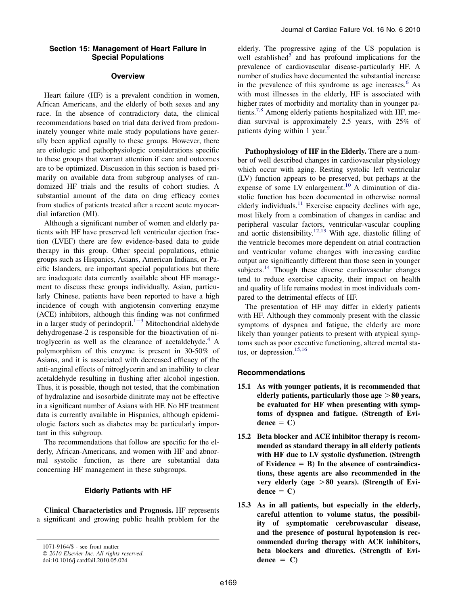# **Overview**

Heart failure (HF) is a prevalent condition in women, African Americans, and the elderly of both sexes and any race. In the absence of contradictory data, the clinical recommendations based on trial data derived from predominately younger white male study populations have generally been applied equally to these groups. However, there are etiologic and pathophysiologic considerations specific to these groups that warrant attention if care and outcomes are to be optimized. Discussion in this section is based primarily on available data from subgroup analyses of randomized HF trials and the results of cohort studies. A substantial amount of the data on drug efficacy comes from studies of patients treated after a recent acute myocardial infarction (MI).

Although a significant number of women and elderly patients with HF have preserved left ventricular ejection fraction (LVEF) there are few evidence-based data to guide therapy in this group. Other special populations, ethnic groups such as Hispanics, Asians, American Indians, or Pacific Islanders, are important special populations but there are inadequate data currently available about HF management to discuss these groups individually. Asian, particularly Chinese, patients have been reported to have a high incidence of cough with angiotensin converting enzyme (ACE) inhibitors, although this finding was not confirmed in a larg[e](#page-4-0)r study of perindopril.<sup>1-3</sup> Mitochondrial aldehyde dehydrogenase-2 is responsible for the bioactivation of ni-troglycerin as well as the clearance of acetaldehyde.<sup>[4](#page-4-0)</sup> A polymorphism of this enzyme is present in 30-50% of Asians, and it is associated with decreased efficacy of the anti-anginal effects of nitroglycerin and an inability to clear acetaldehyde resulting in flushing after alcohol ingestion. Thus, it is possible, though not tested, that the combination of hydralazine and isosorbide dinitrate may not be effective in a significant number of Asians with HF. No HF treatment data is currently available in Hispanics, although epidemiologic factors such as diabetes may be particularly important in this subgroup.

The recommendations that follow are specific for the elderly, African-Americans, and women with HF and abnormal systolic function, as there are substantial data concerning HF management in these subgroups.

### Elderly Patients with HF

Clinical Characteristics and Prognosis. HF represents a significant and growing public health problem for the

elderly. The progressive aging of the US population is well established<sup>[5](#page-4-0)</sup> and has profound implications for the prevalence of cardiovascular disease-particularly HF. A number of studies have documented the substantial increase in the prevalence of this syndrome as age increases.<sup>[6](#page-4-0)</sup> As with most illnesses in the elderly, HF is associated with higher rates of morbidity and mortality than in younger pa-tients.<sup>[7,8](#page-4-0)</sup> Among elderly patients hospitalized with HF, median survival is approximately 2.5 years, with 25% of patients dying within 1 year.<sup>[9](#page-4-0)</sup>

Pathophysiology of HF in the Elderly. There are a number of well described changes in cardiovascular physiology which occur with aging. Resting systolic left ventricular (LV) function appears to be preserved, but perhaps at the expense of some LV enlargement.<sup>[10](#page-4-0)</sup> A diminution of diastolic function has been documented in otherwise normal elderly individuals. $^{11}$  $^{11}$  $^{11}$  Exercise capacity declines with age, most likely from a combination of changes in cardiac and peripheral vascular factors, ventricular-vascular coupling and aortic distensibility.<sup>[12,13](#page-4-0)</sup> With age, diastolic filling of the ventricle becomes more dependent on atrial contraction and ventricular volume changes with increasing cardiac output are significantly different than those seen in younger subjects.<sup>[14](#page-4-0)</sup> Though these diverse cardiovascular changes tend to reduce exercise capacity, their impact on health and quality of life remains modest in most individuals compared to the detrimental effects of HF.

The presentation of HF may differ in elderly patients with HF. Although they commonly present with the classic symptoms of dyspnea and fatigue, the elderly are more likely than younger patients to present with atypical symptoms such as poor executive functioning, altered mental status, or depression. $15,16$ 

### Recommendations

- 15.1 As with younger patients, it is recommended that elderly patients, particularly those age  $>80$  years, be evaluated for HF when presenting with symptoms of dyspnea and fatigue. (Strength of Evi $dence = C$
- 15.2 Beta blocker and ACE inhibitor therapy is recommended as standard therapy in all elderly patients with HF due to LV systolic dysfunction. (Strength of Evidence  $=$  B) In the absence of contraindications, these agents are also recommended in the very elderly (age  $>80$  years). (Strength of Evidence  $= C$ )
- 15.3 As in all patients, but especially in the elderly, careful attention to volume status, the possibility of symptomatic cerebrovascular disease, and the presence of postural hypotension is recommended during therapy with ACE inhibitors, beta blockers and diuretics. (Strength of Evidence  $= C$ )

<sup>1071-9164/\$ -</sup> see front matter © 2010 Elsevier Inc. All rights reserved. doi:10.1016/j.cardfail.2010.05.024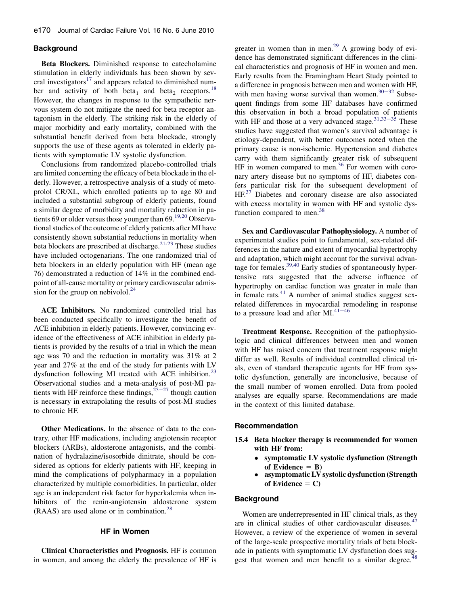# **Background**

Beta Blockers. Diminished response to catecholamine stimulation in elderly individuals has been shown by several investigators $17$  and appears related to diminished num-ber and activity of both beta<sub>1</sub> and beta<sub>2</sub> receptors.<sup>[18](#page-4-0)</sup> However, the changes in response to the sympathetic nervous system do not mitigate the need for beta receptor antagonism in the elderly. The striking risk in the elderly of major morbidity and early mortality, combined with the substantial benefit derived from beta blockade, strongly supports the use of these agents as tolerated in elderly patients with symptomatic LV systolic dysfunction.

Conclusions from randomized placebo-controlled trials are limited concerning the efficacy of beta blockade in the elderly. However, a retrospective analysis of a study of metoprolol CR/XL, which enrolled patients up to age 80 and included a substantial subgroup of elderly patients, found a similar degree of morbidity and mortality reduction in pa-tients 69 or older versus those younger than 69.<sup>[19,20](#page-4-0)</sup> Observational studies of the outcome of elderly patients after MI have consistently shown substantial reductions in mortality when beta blockers are prescribed at discharge.<sup>[21-23](#page-4-0)</sup> These studies have included octogenarians. The one randomized trial of beta blockers in an elderly population with HF (mean age 76) demonstrated a reduction of 14% in the combined endpoint of all-cause mortality or primary cardiovascular admission for the group on nebivolol. $24$ 

ACE Inhibitors. No randomized controlled trial has been conducted specifically to investigate the benefit of ACE inhibition in elderly patients. However, convincing evidence of the effectiveness of ACE inhibition in elderly patients is provided by the results of a trial in which the mean age was 70 and the reduction in mortality was 31% at 2 year and 27% at the end of the study for patients with LV dysfunction following MI treated with ACE inhibition.<sup>[23](#page-4-0)</sup> Observational studies and a meta-analysis of post-MI patients with HF reinforce these findings,  $25-27$  $25-27$  though caution is necessary in extrapolating the results of post-MI studies to chronic HF.

Other Medications. In the absence of data to the contrary, other HF medications, including angiotensin receptor blockers (ARBs), aldosterone antagonists, and the combination of hydralazine/isosorbide dinitrate, should be considered as options for elderly patients with HF, keeping in mind the complications of polypharmacy in a population characterized by multiple comorbidities. In particular, older age is an independent risk factor for hyperkalemia when inhibitors of the renin-angiotensin aldosterone system (RAAS) are used alone or in combination.[28](#page-5-0)

# HF in Women

Clinical Characteristics and Prognosis. HF is common in women, and among the elderly the prevalence of HF is greater in women than in men. $^{29}$  $^{29}$  $^{29}$  A growing body of evidence has demonstrated significant differences in the clinical characteristics and prognosis of HF in women and men. Early results from the Framingham Heart Study pointed to a difference in prognosis between men and women with HF, with men having worse survival than women. $30-32$  $30-32$  Subsequent findings from some HF databases have confirmed this observation in both a broad population of patients with HF and those at a very advanced stage.  $31,33-35$  $31,33-35$  These studies have suggested that women's survival advantage is etiology-dependent, with better outcomes noted when the primary cause is non-ischemic. Hypertension and diabetes carry with them significantly greater risk of subsequent HF in women compared to men.<sup>[36](#page-5-0)</sup> For women with coronary artery disease but no symptoms of HF, diabetes confers particular risk for the subsequent development of HF.<sup>[37](#page-5-0)</sup> Diabetes and coronary disease are also associated with excess mortality in women with HF and systolic dys-function compared to men.<sup>[38](#page-5-0)</sup>

Sex and Cardiovascular Pathophysiology. A number of experimental studies point to fundamental, sex-related differences in the nature and extent of myocardial hypertrophy and adaptation, which might account for the survival advantage for females. $39,40$  Early studies of spontaneously hypertensive rats suggested that the adverse influence of hypertrophy on cardiac function was greater in male than in female rats. $41$  A number of animal studies suggest sexrelated differences in myocard[ial rem](#page-5-0)odeling in response to a pressure load and after MI. $^{41-46}$ 

Treatment Response. Recognition of the pathophysiologic and clinical differences between men and women with HF has raised concern that treatment response might differ as well. Results of individual controlled clinical trials, even of standard therapeutic agents for HF from systolic dysfunction, generally are inconclusive, because of the small number of women enrolled. Data from pooled analyses are equally sparse. Recommendations are made in the context of this limited database.

#### Recommendation

- 15.4 Beta blocker therapy is recommended for women with HF from:
	- symptomatic LV systolic dysfunction (Strength of Evidence  $=$  B)
	- $\bullet$  asymptomatic LV systolic dysfunction (Strength of Evidence  $= C$ )

# **Background**

Women are underrepresented in HF clinical trials, as they are in clinical studies of other cardiovascular diseases. $47$ However, a review of the experience of women in several of the large-scale prospective mortality trials of beta blockade in patients with symptomatic LV dysfunction does sug-gest that women and men benefit to a similar degree.<sup>[48](#page-5-0)</sup>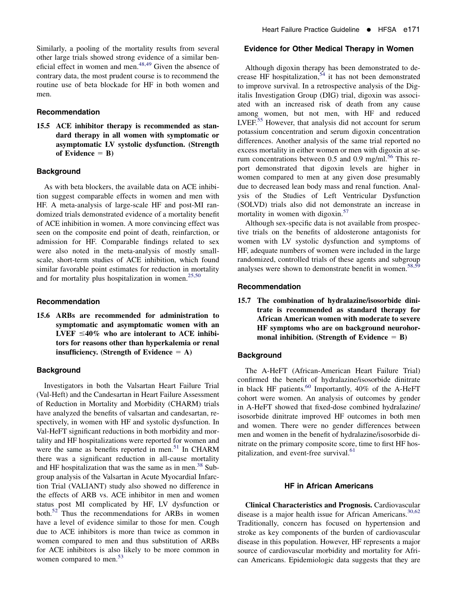## Recommendation

15.5 ACE inhibitor therapy is recommended as standard therapy in all women with symptomatic or asymptomatic LV systolic dysfunction. (Strength of Evidence  $=$  B)

# **Background**

As with beta blockers, the available data on ACE inhibition suggest comparable effects in women and men with HF. A meta-analysis of large-scale HF and post-MI randomized trials demonstrated evidence of a mortality benefit of ACE inhibition in women. A more convincing effect was seen on the composite end point of death, reinfarction, or admission for HF. Comparable findings related to sex were also noted in the meta-analysis of mostly smallscale, short-term studies of ACE inhibition, which found similar favorable point estimates for reduction in mortality and for mortality plus hospitalization in women. $25,50$ 

# Recommendation

15.6 ARBs are recommended for administration to symptomatic and asymptomatic women with an LVEF  $\leq 40\%$  who are intolerant to ACE inhibitors for reasons other than hyperkalemia or renal insufficiency. (Strength of Evidence  $= A$ )

## **Background**

Investigators in both the Valsartan Heart Failure Trial (Val-Heft) and the Candesartan in Heart Failure Assessment of Reduction in Mortality and Morbidity (CHARM) trials have analyzed the benefits of valsartan and candesartan, respectively, in women with HF and systolic dysfunction. In Val-HeFT significant reductions in both morbidity and mortality and HF hospitalizations were reported for women and were the same as benefits reported in men. $51$  In CHARM there was a significant reduction in all-cause mortality and HF hospitalization that was the same as in men. $38$  Subgroup analysis of the Valsartan in Acute Myocardial Infarction Trial (VALIANT) study also showed no difference in the effects of ARB vs. ACE inhibitor in men and women status post MI complicated by HF, LV dysfunction or both.<sup>[52](#page-5-0)</sup> Thus the recommendations for ARBs in women have a level of evidence similar to those for men. Cough due to ACE inhibitors is more than twice as common in women compared to men and thus substitution of ARBs for ACE inhibitors is also likely to be more common in women compared to men.<sup>[53](#page-5-0)</sup>

### Evidence for Other Medical Therapy in Women

Although digoxin therapy has been demonstrated to decrease HF hospitalization,  $54$  it has not been demonstrated to improve survival. In a retrospective analysis of the Digitalis Investigation Group (DIG) trial, digoxin was associated with an increased risk of death from any cause among women, but not men, with HF and reduced LVEF.<sup>[55](#page-5-0)</sup> However, that analysis did not account for serum potassium concentration and serum digoxin concentration differences. Another analysis of the same trial reported no excess mortality in either women or men with digoxin at se-rum concentrations between 0.5 and 0.9 mg/ml.<sup>[56](#page-5-0)</sup> This report demonstrated that digoxin levels are higher in women compared to men at any given dose presumably due to decreased lean body mass and renal function. Analysis of the Studies of Left Ventricular Dysfunction (SOLVD) trials also did not demonstrate an increase in mortality in women with digoxin.<sup>[57](#page-5-0)</sup>

Although sex-specific data is not available from prospective trials on the benefits of aldosterone antagonists for women with LV systolic dysfunction and symptoms of HF, adequate numbers of women were included in the large randomized, controlled trials of these agents and subgroup analyses were shown to demonstrate benefit in women.<sup>58,59</sup>

#### Recommendation

15.7 The combination of hydralazine/isosorbide dinitrate is recommended as standard therapy for African American women with moderate to severe HF symptoms who are on background neurohormonal inhibition. (Strength of Evidence  $=$  B)

# **Background**

The A-HeFT (African-American Heart Failure Trial) confirmed the benefit of hydralazine/isosorbide dinitrate in black HF patients. $^{60}$  Importantly, 40% of the A-HeFT cohort were women. An analysis of outcomes by gender in A-HeFT showed that fixed-dose combined hydralazine/ isosorbide dinitrate improved HF outcomes in both men and women. There were no gender differences between men and women in the benefit of hydralazine/isosorbide dinitrate on the primary composite score, time to first HF hos-pitalization, and event-free survival.<sup>[61](#page-5-0)</sup>

# HF in African Americans

Clinical Characteristics and Prognosis. Cardiovascular disease is a major health issue for African Americans. $30,62$ Traditionally, concern has focused on hypertension and stroke as key components of the burden of cardiovascular disease in this population. However, HF represents a major source of cardiovascular morbidity and mortality for African Americans. Epidemiologic data suggests that they are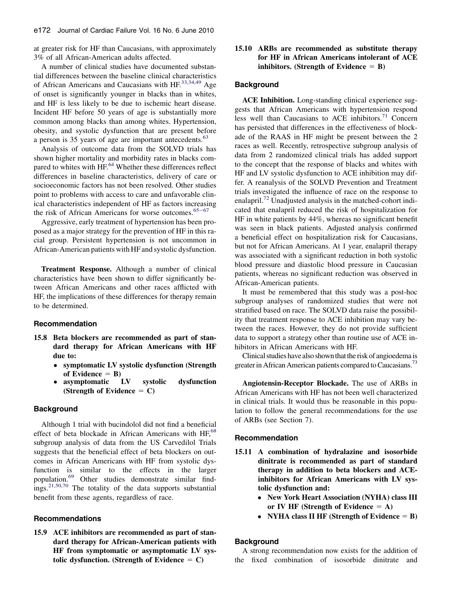at greater risk for HF than Caucasians, with approximately 3% of all African-American adults affected.

A number of clinical studies have documented substantial differences between the baseline clinical characteristics of African Americans and Caucasians with HF.<sup>[33,34,49](#page-5-0)</sup> Age of onset is significantly younger in blacks than in whites, and HF is less likely to be due to ischemic heart disease. Incident HF before 50 years of age is substantially more common among blacks than among whites. Hypertension, obesity, and systolic dysfunction that are present before a person is 35 years of age are important antecedents.<sup>[63](#page-5-0)</sup>

Analysis of outcome data from the SOLVD trials has shown higher mortality and morbidity rates in blacks com-pared to whites with HF.<sup>[64](#page-5-0)</sup> Whether these differences reflect differences in baseline characteristics, delivery of care or socioeconomic factors has not been resolved. Other studies point to problems with access to care and unfavorable clinical characteristics independent of HF as factors increasing the risk of African Americans for worse outcomes. $65-67$  $65-67$ 

Aggressive, early treatment of hypertension has been proposed as a major strategy for the prevention of HF in this racial group. Persistent hypertension is not uncommon in African-American patients with HF and systolic dysfunction.

Treatment Response. Although a number of clinical characteristics have been shown to differ significantly between African Americans and other races afflicted with HF, the implications of these differences for therapy remain to be determined.

### Recommendation

- 15.8 Beta blockers are recommended as part of standard therapy for African Americans with HF due to:
	- symptomatic LV systolic dysfunction (Strength of Evidence  $=$  B)<br>asymptomatic LV
	- $\bullet$  asymptomatic LV systolic dysfunction (Strength of Evidence  $= C$ )

### **Background**

Although 1 trial with bucindolol did not find a beneficial effect of beta blockade in African Americans with  $HF<sub>0</sub><sup>68</sup>$  $HF<sub>0</sub><sup>68</sup>$  $HF<sub>0</sub><sup>68</sup>$ subgroup analysis of data from the US Carvedilol Trials suggests that the beneficial effect of beta blockers on outcomes in African Americans with HF from systolic dysfunction is similar to the effects in the larger population.[69](#page-6-0) Other studies demonstrate similar findings.[21,50,70](#page-4-0) The totality of the data supports substantial benefit from these agents, regardless of race.

# Recommendations

15.9 ACE inhibitors are recommended as part of standard therapy for African-American patients with HF from symptomatic or asymptomatic LV systolic dysfunction. (Strength of Evidence  $= C$ )

# 15.10 ARBs are recommended as substitute therapy for HF in African Americans intolerant of ACE inhibitors. (Strength of Evidence  $=$  B)

### Background

ACE Inhibition. Long-standing clinical experience suggests that African Americans with hypertension respond less well than Caucasians to ACE inhibitors. $71$  Concern has persisted that differences in the effectiveness of blockade of the RAAS in HF might be present between the 2 races as well. Recently, retrospective subgroup analysis of data from 2 randomized clinical trials has added support to the concept that the response of blacks and whites with HF and LV systolic dysfunction to ACE inhibition may differ. A reanalysis of the SOLVD Prevention and Treatment trials investigated the influence of race on the response to enalapril.<sup>[72](#page-6-0)</sup> Unadjusted analysis in the matched-cohort indicated that enalapril reduced the risk of hospitalization for HF in white patients by 44%, whereas no significant benefit was seen in black patients. Adjusted analysis confirmed a beneficial effect on hospitalization risk for Caucasians, but not for African Americans. At 1 year, enalapril therapy was associated with a significant reduction in both systolic blood pressure and diastolic blood pressure in Caucasian patients, whereas no significant reduction was observed in African-American patients.

It must be remembered that this study was a post-hoc subgroup analyses of randomized studies that were not stratified based on race. The SOLVD data raise the possibility that treatment response to ACE inhibition may vary between the races. However, they do not provide sufficient data to support a strategy other than routine use of ACE inhibitors in African Americans with HF.

Clinical studies have also shown that the risk of angioedema is greater in African American patients compared to Caucasians.<sup>73</sup>

Angiotensin-Receptor Blockade. The use of ARBs in African Americans with HF has not been well characterized in clinical trials. It would thus be reasonable in this population to follow the general recommendations for the use of ARBs (see Section 7).

#### Recommendation

- 15.11 A combination of hydralazine and isosorbide dinitrate is recommended as part of standard therapy in addition to beta blockers and ACEinhibitors for African Americans with LV systolic dysfunction and:
	- New York Heart Association (NYHA) class III or IV HF (Strength of Evidence  $= A$ )
	- NYHA class II HF (Strength of Evidence  $=$  B)

### **Background**

A strong recommendation now exists for the addition of the fixed combination of isosorbide dinitrate and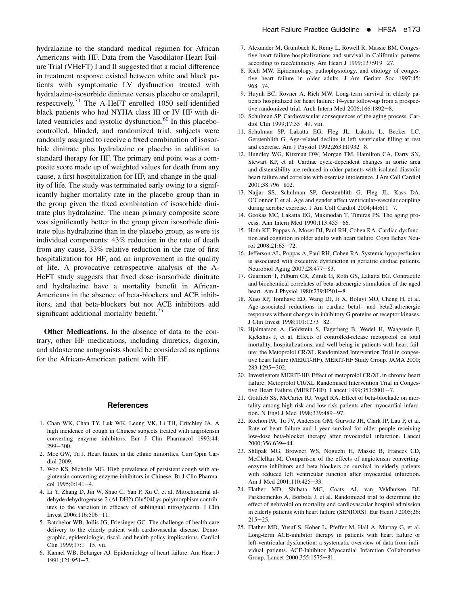<span id="page-4-0"></span>hydralazine to the standard medical regimen for African Americans with HF. Data from the Vasodilator-Heart Failure Trial (VHeFT) I and II suggested that a racial difference in treatment response existed between white and black patients with symptomatic LV dysfunction treated with hydralazine-isosorbide dinitrate versus placebo or enalapril, respectively.<sup>[74](#page-6-0)</sup> The A-HeFT enrolled 1050 self-identified black patients who had NYHA class III or IV HF with di-lated ventricles and systolic dysfunction.<sup>[60](#page-5-0)</sup> In this placebocontrolled, blinded, and randomized trial, subjects were randomly assigned to receive a fixed combination of isosorbide dinitrate plus hydralazine or placebo in addition to standard therapy for HF. The primary end point was a composite score made up of weighted values for death from any cause, a first hospitalization for HF, and change in the quality of life. The study was terminated early owing to a significantly higher mortality rate in the placebo group than in the group given the fixed combination of isosorbide dinitrate plus hydralazine. The mean primary composite score was significantly better in the group given isosorbide dinitrate plus hydralazine than in the placebo group, as were its individual components: 43% reduction in the rate of death from any cause, 33% relative reduction in the rate of first hospitalization for HF, and an improvement in the quality of life. A provocative retrospective analysis of the A-HeFT study suggests that fixed dose isorsorbide dinitrate and hydralazine have a mortality benefit in African-Americans in the absence of beta-blockers and ACE inhibitors, and that beta-blockers but not ACE inhibitors add significant additional mortality benefit.<sup>[75](#page-6-0)</sup>

Other Medications. In the absence of data to the contrary, other HF medications, including diuretics, digoxin, and aldosterone antagonists should be considered as options for the African-American patient with HF.

## **References**

- 1. Chan WK, Chan TY, Luk WK, Leung VK, Li TH, Critchley JA. A high incidence of cough in Chinese subjects treated with angiotensin converting enzyme inhibitors. Eur J Clin Pharmacol 1993;44: 299-300.
- 2. Moe GW, Tu J. Heart failure in the ethnic minorities. Curr Opin Cardiol 2009.
- 3. Woo KS, Nicholls MG. High prevalence of persistent cough with angiotensin converting enzyme inhibitors in Chinese. Br J Clin Pharma $col$  1995;0:141-4.
- 4. Li Y, Zhang D, Jin W, Shao C, Yan P, Xu C, et al. Mitochondrial aldehyde dehydrogenase-2 (ALDH2) Glu504Lys polymorphism contributes to the variation in efficacy of sublingual nitroglycerin. J Clin Invest  $2006:116:506 - 11$ .
- 5. Batchelor WB, Jollis JG, Friesinger GC. The challenge of health care delivery to the elderly patient with cardiovascular disease. Demographic, epidemiologic, fiscal, and health policy implications. Cardiol Clin 1999:17:1-15. vii.
- 6. Kannel WB, Belanger AJ. Epidemiology of heart failure. Am Heart J 1991;121:951-7.
- 7. Alexander M, Grumbach K, Remy L, Rowell R, Massie BM. Congestive heart failure hospitalizations and survival in California: patterns according to race/ethnicity. Am Heart J 1999;137:919-27.
- 8. Rich MW. Epidemiology, pathophysiology, and etiology of congestive heart failure in older adults. J Am Geriatr Soc 1997;45:  $968 - 74.$
- 9. Huynh BC, Rovner A, Rich MW. Long-term survival in elderly patients hospitalized for heart failure: 14-year follow-up from a prospective randomized trial. Arch Intern Med  $2006;166:1892-8$ .
- 10. Schulman SP. Cardiovascular consequences of the aging process. Cardiol Clin 1999;17:35-49. viii.
- 11. Schulman SP, Lakatta EG, Fleg JL, Lakatta L, Becker LC, Gerstenblith G. Age-related decline in left ventricular filling at rest and exercise. Am J Physiol 1992;263:H1932-8.
- 12. Hundley WG, Kitzman DW, Morgan TM, Hamilton CA, Darty SN, Stewart KP, et al. Cardiac cycle-dependent changes in aortic area and distensibility are reduced in older patients with isolated diastolic heart failure and correlate with exercise intolerance. J Am Coll Cardiol 2001;38:796-802.
- 13. Najjar SS, Schulman SP, Gerstenblith G, Fleg JL, Kass DA, O'Connor F, et al. Age and gender affect ventricular-vascular coupling during aerobic exercise. J Am Coll Cardiol  $2004;44:611-7$ .
- 14. Geokas MC, Lakatta EG, Makinodan T, Timiras PS. The aging process. Ann Intern Med 1990;113:455-66.
- 15. Hoth KF, Poppas A, Moser DJ, Paul RH, Cohen RA. Cardiac dysfunction and cognition in older adults with heart failure. Cogn Behav Neurol 2008;21:65-72.
- 16. Jefferson AL, Poppas A, Paul RH, Cohen RA. Systemic hypoperfusion is associated with executive dysfunction in geriatric cardiac patients. Neurobiol Aging 2007;28:477-83.
- 17. Guarnieri T, Filburn CR, Zitnik G, Roth GS, Lakatta EG. Contractile and biochemical correlates of beta-adrenergic stimulation of the aged heart. Am J Physiol 1980;239:H501-8.
- 18. Xiao RP, Tomhave ED, Wang DJ, Ji X, Boluyt MO, Cheng H, et al. Age-associated reductions in cardiac beta1- and beta2-adrenergic responses without changes in inhibitory G proteins or receptor kinases. J Clin Invest 1998;101:1273-82.
- 19. Hjalmarson A, Goldstein S, Fagerberg B, Wedel H, Waagstein F, Kjekshus J, et al. Effects of controlled-release metoprolol on total mortality, hospitalizations, and well-being in patients with heart failure: the Metoprolol CR/XL Randomized Intervention Trial in congestive heart failure (MERIT-HF). MERIT-HF Study Group. JAMA 2000; 283:1295-302.
- 20. Investigators MERIT-HF. Effect of metoprolol CR/XL in chronic heart failure: Metoprolol CR/XL Randomised Intervention Trial in Congestive Heart Failure (MERIT-HF). Lancet  $1999;353:2001-7$ .
- 21. Gottlieb SS, McCarter RJ, Vogel RA. Effect of beta-blockade on mortality among high-risk and low-risk patients after myocardial infarction. N Engl J Med 1998;339:489-97.
- 22. Rochon PA, Tu JV, Anderson GM, Gurwitz JH, Clark JP, Lau P, et al. Rate of heart failure and 1-year survival for older people receiving low-dose beta-blocker therapy after myocardial infarction. Lancet 2000;356:639-44.
- 23. Shlipak MG, Browner WS, Noguchi H, Massie B, Frances CD, McClellan M. Comparison of the effects of angiotensin convertingenzyme inhibitors and beta blockers on survival in elderly patients with reduced left ventricular function after myocardial infarction. Am J Med 2001;110:425-33.
- 24. Flather MD, Shibata MC, Coats AJ, van Veldhuisen DJ, Parkhomenko A, Borbola J, et al. Randomized trial to determine the effect of nebivolol on mortality and cardiovascular hospital admission in elderly patients with heart failure (SENIORS). Eur Heart J 2005;26:  $215 - 25.$
- 25. Flather MD, Yusuf S, Kober L, Pfeffer M, Hall A, Murray G, et al. Long-term ACE-inhibitor therapy in patients with heart failure or left-ventricular dysfunction: a systematic overview of data from individual patients. ACE-Inhibitor Myocardial Infarction Collaborative Group. Lancet 2000;355:1575-81.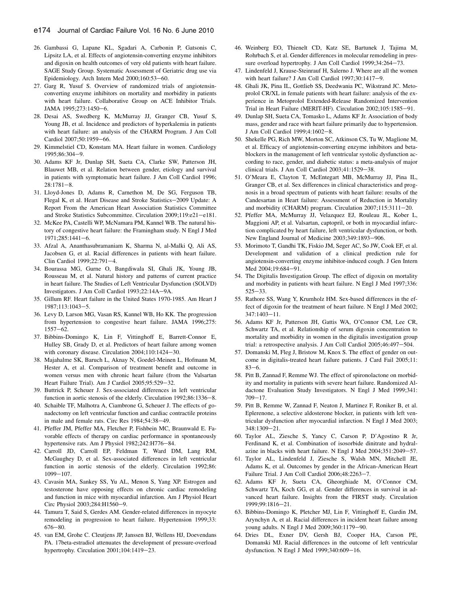- <span id="page-5-0"></span>26. Gambassi G, Lapane KL, Sgadari A, Carbonin P, Gatsonis C, Lipsitz LA, et al. Effects of angiotensin-converting enzyme inhibitors and digoxin on health outcomes of very old patients with heart failure. SAGE Study Group. Systematic Assessment of Geriatric drug use via Epidemiology. Arch Intern Med 2000;160:53-60.
- 27. Garg R, Yusuf S. Overview of randomized trials of angiotensinconverting enzyme inhibitors on mortality and morbidity in patients with heart failure. Collaborative Group on ACE Inhibitor Trials. JAMA 1995:273:1450-6.
- 28. Desai AS, Swedberg K, McMurray JJ, Granger CB, Yusuf S, Young JB, et al. Incidence and predictors of hyperkalemia in patients with heart failure: an analysis of the CHARM Program. J Am Coll Cardiol 2007;50:1959-66.
- 29. Kimmelstiel CD, Konstam MA. Heart failure in women. Cardiology 1995;86:304-9.
- 30. Adams KF Jr, Dunlap SH, Sueta CA, Clarke SW, Patterson JH, Blauwet MB, et al. Relation between gender, etiology and survival in patients with symptomatic heart failure. J Am Coll Cardiol 1996;  $28:1781-8.$
- 31. Lloyd-Jones D, Adams R, Carnethon M, De SG, Ferguson TB, Flegal K, et al. Heart Disease and Stroke Statistics-2009 Update: A Report From the American Heart Association Statistics Committee and Stroke Statistics Subcommittee. Circulation 2009;119:e21-e181.
- 32. McKee PA, Castelli WP, McNamara PM, Kannel WB. The natural history of congestive heart failure: the Framingham study. N Engl J Med 1971;285:1441-6.
- 33. Afzal A, Ananthasubramaniam K, Sharma N, al-Malki Q, Ali AS, Jacobsen G, et al. Racial differences in patients with heart failure. Clin Cardiol 1999;22:791-4.
- 34. Bourassa MG, Gurne O, Bangdiwala SI, Ghali JK, Young JB, Rousseau M, et al. Natural history and patterns of current practice in heart failure. The Studies of Left Ventricular Dysfunction (SOLVD) Investigators. J Am Coll Cardiol 1993;22:14A-9A.
- 35. Gillum RF. Heart failure in the United States 1970-1985. Am Heart J 1987:113:1043-5.
- 36. Levy D, Larson MG, Vasan RS, Kannel WB, Ho KK. The progression from hypertension to congestive heart failure. JAMA 1996;275:  $1557 - 62$ .
- 37. Bibbins-Domingo K, Lin F, Vittinghoff E, Barrett-Connor E, Hulley SB, Grady D, et al. Predictors of heart failure among women with coronary disease. Circulation  $2004;110:1424-30$ .
- 38. Majahalme SK, Baruch L, Aknay N, Goedel-Meinen L, Hofmann M, Hester A, et al. Comparison of treatment benefit and outcome in women versus men with chronic heart failure (from the Valsartan Heart Failure Trial). Am J Cardiol 2005;95:529-32.
- 39. Buttrick P, Scheuer J. Sex-associated differences in left ventricular function in aortic stenosis of the elderly. Circulation 1992;86:1336-8.
- 40. Schaible TF, Malhotra A, Ciambrone G, Scheuer J. The effects of gonadectomy on left ventricular function and cardiac contractile proteins in male and female rats. Circ Res 1984;54:38-49.
- 41. Pfeffer JM, Pfeffer MA, Fletcher P, Fishbein MC, Braunwald E. Favorable effects of therapy on cardiac performance in spontaneously hypertensive rats. Am J Physiol 1982;242:H776-84.
- 42. Carroll JD, Carroll EP, Feldman T, Ward DM, Lang RM, McGaughey D, et al. Sex-associated differences in left ventricular function in aortic stenosis of the elderly. Circulation 1992;86: 1099-107.
- 43. Cavasin MA, Sankey SS, Yu AL, Menon S, Yang XP. Estrogen and testosterone have opposing effects on chronic cardiac remodeling and function in mice with myocardial infarction. Am J Physiol Heart Circ Physiol 2003;284:H1560-9.
- 44. Tamura T, Said S, Gerdes AM. Gender-related differences in myocyte remodeling in progression to heart failure. Hypertension 1999;33:  $676 - 80.$
- 45. van EM, Grohe C. Cleutjens JP, Janssen BJ, Wellens HJ, Doevendans PA. 17beta-estradiol attenuates the development of pressure-overload hypertrophy. Circulation 2001;104:1419-23.
- 46. Weinberg EO, Thienelt CD, Katz SE, Bartunek J, Tajima M, Rohrbach S, et al. Gender differences in molecular remodeling in pressure overload hypertrophy. J Am Coll Cardiol 1999;34:264-73.
- 47. Lindenfeld J, Krause-Steinrauf H, Salerno J. Where are all the women with heart failure? J Am Coll Cardiol  $1997;30:1417-9$ .
- 48. Ghali JK, Pina IL, Gottlieb SS, Deedwania PC, Wikstrand JC. Metoprolol CR/XL in female patients with heart failure: analysis of the experience in Metoprolol Extended-Release Randomized Intervention Trial in Heart Failure (MERIT-HF). Circulation 2002;105:1585-91.
- 49. Dunlap SH, Sueta CA, Tomasko L, Adams KF Jr. Association of body mass, gender and race with heart failure primarily due to hypertension. J Am Coll Cardiol 1999;4:1602-8.
- 50. Shekelle PG, Rich MW, Morton SC, Atkinson CS, Tu W, Maglione M, et al. Efficacy of angiotensin-converting enzyme inhibitors and betablockers in the management of left ventricular systolic dysfunction according to race, gender, and diabetic status: a meta-analysis of major clinical trials. J Am Coll Cardiol  $2003;41:1529-38$ .
- 51. O'Meara E, Clayton T, McEntegart MB, McMurray JJ, Pina IL, Granger CB, et al. Sex differences in clinical characteristics and prognosis in a broad spectrum of patients with heart failure: results of the Candesartan in Heart failure: Assessment of Reduction in Mortality and morbidity (CHARM) program. Circulation  $2007;115:3111-20$ .
- 52. Pfeffer MA, McMurray JJ, Velazquez EJ, Rouleau JL, Kober L, Maggioni AP, et al. Valsartan, captopril, or both in myocardial infarction complicated by heart failure, left ventricular dysfunction, or both. New England Journal of Medicine 2003;349:1893-906.
- 53. Morimoto T, Gandhi TK, Fiskio JM, Seger AC, So JW, Cook EF, et al. Development and validation of a clinical prediction rule for angiotensin-converting enzyme inhibitor-induced cough. J Gen Intern Med 2004;19:684-91.
- 54. The Digitalis Investigation Group. The effect of digoxin on mortality and morbidity in patients with heart failure. N Engl J Med 1997;336:  $525 - 33.$
- 55. Rathore SS, Wang Y, Krumholz HM. Sex-based differences in the effect of digoxin for the treatment of heart failure. N Engl J Med 2002; 347:1403-11.
- 56. Adams KF Jr, Patterson JH, Gattis WA, O'Connor CM, Lee CR, Schwartz TA, et al. Relationship of serum digoxin concentration to mortality and morbidity in women in the digitalis investigation group trial: a retrospective analysis. J Am Coll Cardiol 2005;46:497-504.
- 57. Domanski M, Fleg J, Bristow M, Knox S. The effect of gender on outcome in digitalis-treated heart failure patients. J Card Fail 2005;11:  $83 - 6.$
- 58. Pitt B, Zannad F, Remme WJ. The effect of spironolactone on morbidity and mortality in patients with severe heart failure. Randomized Aldactone Evaluation Study Investigators. N Engl J Med 1999;341:  $709 - 17$ .
- 59. Pitt B, Remme W, Zannad F, Neaton J, Martinez F, Roniker B, et al. Eplerenone, a selective aldosterone blocker, in patients with left ventricular dysfunction after myocardial infarction. N Engl J Med 2003; 348:1309-21.
- 60. Taylor AL, Ziesche S, Yancy C, Carson P, D'Agostino R Jr, Ferdinand K, et al. Combination of isosorbide dinitrate and hydralazine in blacks with heart failure. N Engl J Med 2004;351:2049-57.
- 61. Taylor AL, Lindenfeld J, Ziesche S, Walsh MN, Mitchell JE, Adams K, et al. Outcomes by gender in the African-American Heart Failure Trial. J Am Coll Cardiol 2006;48:2263-7.
- 62. Adams KF Jr, Sueta CA, Gheorghiade M, O'Connor CM, Schwartz TA, Koch GG, et al. Gender differences in survival in advanced heart failure. Insights from the FIRST study. Circulation 1999:99:1816-21.
- 63. Bibbins-Domingo K, Pletcher MJ, Lin F, Vittinghoff E, Gardin JM, Arynchyn A, et al. Racial differences in incident heart failure among young adults. N Engl J Med 2009;360:1179-90.
- 64. Dries DL, Exner DV, Gersh BJ, Cooper HA, Carson PE, Domanski MJ. Racial differences in the outcome of left ventricular dysfunction. N Engl J Med 1999;340:609-16.